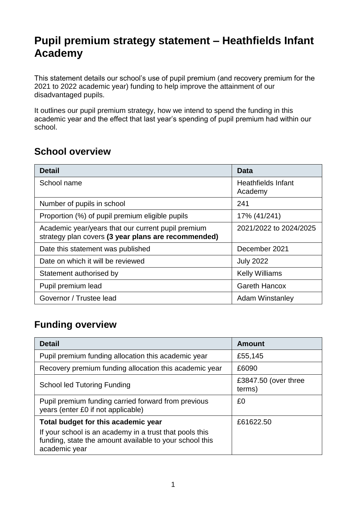## **Pupil premium strategy statement – Heathfields Infant Academy**

This statement details our school's use of pupil premium (and recovery premium for the 2021 to 2022 academic year) funding to help improve the attainment of our disadvantaged pupils.

It outlines our pupil premium strategy, how we intend to spend the funding in this academic year and the effect that last year's spending of pupil premium had within our school.

#### **School overview**

| <b>Detail</b>                                                                                             | Data                                 |
|-----------------------------------------------------------------------------------------------------------|--------------------------------------|
| School name                                                                                               | <b>Heathfields Infant</b><br>Academy |
| Number of pupils in school                                                                                | 241                                  |
| Proportion (%) of pupil premium eligible pupils                                                           | 17% (41/241)                         |
| Academic year/years that our current pupil premium<br>strategy plan covers (3 year plans are recommended) | 2021/2022 to 2024/2025               |
| Date this statement was published                                                                         | December 2021                        |
| Date on which it will be reviewed                                                                         | <b>July 2022</b>                     |
| Statement authorised by                                                                                   | <b>Kelly Williams</b>                |
| Pupil premium lead                                                                                        | <b>Gareth Hancox</b>                 |
| Governor / Trustee lead                                                                                   | <b>Adam Winstanley</b>               |

### **Funding overview**

| <b>Detail</b>                                                                                                                       | Amount                         |
|-------------------------------------------------------------------------------------------------------------------------------------|--------------------------------|
| Pupil premium funding allocation this academic year                                                                                 | £55,145                        |
| Recovery premium funding allocation this academic year                                                                              | £6090                          |
| <b>School led Tutoring Funding</b>                                                                                                  | £3847.50 (over three<br>terms) |
| Pupil premium funding carried forward from previous<br>years (enter £0 if not applicable)                                           | £0                             |
| Total budget for this academic year                                                                                                 | £61622.50                      |
| If your school is an academy in a trust that pools this<br>funding, state the amount available to your school this<br>academic year |                                |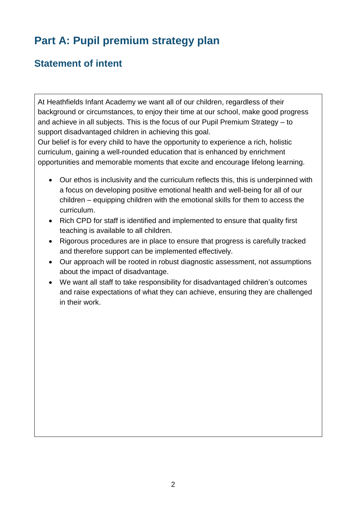# **Part A: Pupil premium strategy plan**

### **Statement of intent**

At Heathfields Infant Academy we want all of our children, regardless of their background or circumstances, to enjoy their time at our school, make good progress and achieve in all subjects. This is the focus of our Pupil Premium Strategy – to support disadvantaged children in achieving this goal.

Our belief is for every child to have the opportunity to experience a rich, holistic curriculum, gaining a well-rounded education that is enhanced by enrichment opportunities and memorable moments that excite and encourage lifelong learning.

- Our ethos is inclusivity and the curriculum reflects this, this is underpinned with a focus on developing positive emotional health and well-being for all of our children – equipping children with the emotional skills for them to access the curriculum.
- Rich CPD for staff is identified and implemented to ensure that quality first teaching is available to all children.
- Rigorous procedures are in place to ensure that progress is carefully tracked and therefore support can be implemented effectively.
- Our approach will be rooted in robust diagnostic assessment, not assumptions about the impact of disadvantage.
- We want all staff to take responsibility for disadvantaged children's outcomes and raise expectations of what they can achieve, ensuring they are challenged in their work.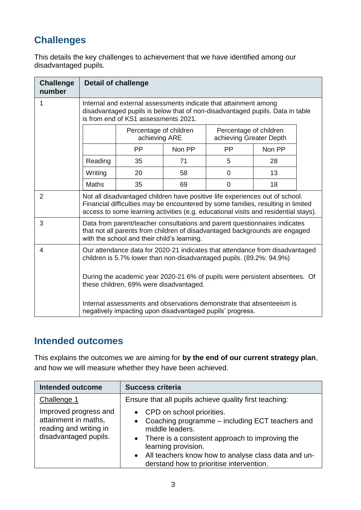### **Challenges**

This details the key challenges to achievement that we have identified among our disadvantaged pupils.

| <b>Challenge</b><br>number |                                                                                                                                                                                                                                                         | <b>Detail of challenge</b>              |        |                                                   |        |  |
|----------------------------|---------------------------------------------------------------------------------------------------------------------------------------------------------------------------------------------------------------------------------------------------------|-----------------------------------------|--------|---------------------------------------------------|--------|--|
| 1                          | Internal and external assessments indicate that attainment among<br>disadvantaged pupils is below that of non-disadvantaged pupils. Data in table<br>is from end of KS1 assessments 2021.                                                               |                                         |        |                                                   |        |  |
|                            |                                                                                                                                                                                                                                                         | Percentage of children<br>achieving ARE |        | Percentage of children<br>achieving Greater Depth |        |  |
|                            |                                                                                                                                                                                                                                                         | <b>PP</b>                               | Non PP | <b>PP</b>                                         | Non PP |  |
|                            | Reading                                                                                                                                                                                                                                                 | 35                                      | 71     | 5                                                 | 28     |  |
|                            | Writing                                                                                                                                                                                                                                                 | 20                                      | 58     | 0                                                 | 13     |  |
|                            | Maths                                                                                                                                                                                                                                                   | 35                                      | 69     | $\mathbf 0$                                       | 18     |  |
| $\overline{2}$             | Not all disadvantaged children have positive life experiences out of school.<br>Financial difficulties may be encountered by some families, resulting in limited<br>access to some learning activities (e.g. educational visits and residential stays). |                                         |        |                                                   |        |  |
| 3                          | Data from parent/teacher consultations and parent questionnaires indicates<br>that not all parents from children of disadvantaged backgrounds are engaged<br>with the school and their child's learning.                                                |                                         |        |                                                   |        |  |
| $\overline{4}$             | Our attendance data for 2020-21 indicates that attendance from disadvantaged<br>children is 5.7% lower than non-disadvantaged pupils. (89.2%: 94.9%)                                                                                                    |                                         |        |                                                   |        |  |
|                            | During the academic year 2020-21 6% of pupils were persistent absentees. Of<br>these children, 69% were disadvantaged.                                                                                                                                  |                                         |        |                                                   |        |  |
|                            | Internal assessments and observations demonstrate that absenteeism is<br>negatively impacting upon disadvantaged pupils' progress.                                                                                                                      |                                         |        |                                                   |        |  |

#### **Intended outcomes**

This explains the outcomes we are aiming for **by the end of our current strategy plan**, and how we will measure whether they have been achieved.

| <b>Intended outcome</b>                                                                          | <b>Success criteria</b>                                                                                                                                                                                                                                                                                    |
|--------------------------------------------------------------------------------------------------|------------------------------------------------------------------------------------------------------------------------------------------------------------------------------------------------------------------------------------------------------------------------------------------------------------|
| Challenge 1                                                                                      | Ensure that all pupils achieve quality first teaching:                                                                                                                                                                                                                                                     |
| Improved progress and<br>attainment in maths,<br>reading and writing in<br>disadvantaged pupils. | • CPD on school priorities.<br>Coaching programme – including ECT teachers and<br>$\bullet$<br>middle leaders.<br>• There is a consistent approach to improving the<br>learning provision.<br>All teachers know how to analyse class data and un-<br>$\bullet$<br>derstand how to prioritise intervention. |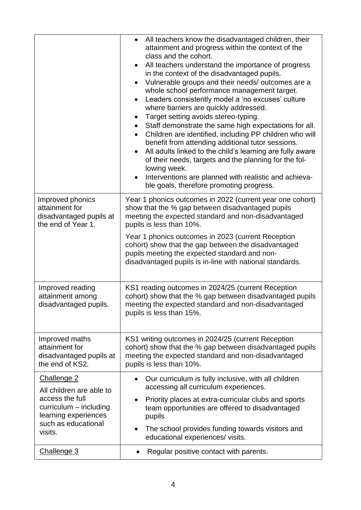|                                                                                                                                   | All teachers know the disadvantaged children, their<br>attainment and progress within the context of the<br>class and the cohort.<br>All teachers understand the importance of progress<br>$\bullet$<br>in the context of the disadvantaged pupils.<br>Vulnerable groups and their needs/outcomes are a<br>$\bullet$<br>whole school performance management target.<br>Leaders consistently model a 'no excuses' culture<br>$\bullet$<br>where barriers are quickly addressed.<br>Target setting avoids stereo-typing.<br>$\bullet$<br>Staff demonstrate the same high expectations for all.<br>$\bullet$<br>Children are identified, including PP children who will<br>$\bullet$<br>benefit from attending additional tutor sessions.<br>All adults linked to the child's learning are fully aware<br>$\bullet$<br>of their needs, targets and the planning for the fol-<br>lowing week.<br>Interventions are planned with realistic and achieva-<br>$\bullet$<br>ble goals, therefore promoting progress. |
|-----------------------------------------------------------------------------------------------------------------------------------|-------------------------------------------------------------------------------------------------------------------------------------------------------------------------------------------------------------------------------------------------------------------------------------------------------------------------------------------------------------------------------------------------------------------------------------------------------------------------------------------------------------------------------------------------------------------------------------------------------------------------------------------------------------------------------------------------------------------------------------------------------------------------------------------------------------------------------------------------------------------------------------------------------------------------------------------------------------------------------------------------------------|
| Improved phonics<br>attainment for<br>disadvantaged pupils at<br>the end of Year 1.                                               | Year 1 phonics outcomes in 2022 (current year one cohort)<br>show that the % gap between disadvantaged pupils<br>meeting the expected standard and non-disadvantaged<br>pupils is less than 10%.<br>Year 1 phonics outcomes in 2023 (current Reception<br>cohort) show that the gap between the disadvantaged<br>pupils meeting the expected standard and non-<br>disadvantaged pupils is in-line with national standards.                                                                                                                                                                                                                                                                                                                                                                                                                                                                                                                                                                                  |
| Improved reading<br>attainment among<br>disadvantaged pupils.                                                                     | KS1 reading outcomes in 2024/25 (current Reception<br>cohort) show that the % gap between disadvantaged pupils<br>meeting the expected standard and non-disadvantaged<br>pupils is less than 15%.                                                                                                                                                                                                                                                                                                                                                                                                                                                                                                                                                                                                                                                                                                                                                                                                           |
| Improved maths<br>attainment for<br>disadvantaged pupils at<br>the end of KS2.                                                    | KS1 writing outcomes in 2024/25 (current Reception<br>cohort) show that the % gap between disadvantaged pupils<br>meeting the expected standard and non-disadvantaged<br>pupils is less than 10%.                                                                                                                                                                                                                                                                                                                                                                                                                                                                                                                                                                                                                                                                                                                                                                                                           |
| Challenge 2                                                                                                                       | Our curriculum is fully inclusive, with all children<br>$\bullet$<br>accessing all curriculum experiences.                                                                                                                                                                                                                                                                                                                                                                                                                                                                                                                                                                                                                                                                                                                                                                                                                                                                                                  |
| All children are able to<br>access the full<br>$curricular - including$<br>learning experiences<br>such as educational<br>visits. | Priority places at extra-curricular clubs and sports<br>٠<br>team opportunities are offered to disadvantaged<br>pupils<br>The school provides funding towards visitors and<br>$\bullet$                                                                                                                                                                                                                                                                                                                                                                                                                                                                                                                                                                                                                                                                                                                                                                                                                     |
| Challenge 3                                                                                                                       | educational experiences/visits.<br>Regular positive contact with parents.<br>$\bullet$                                                                                                                                                                                                                                                                                                                                                                                                                                                                                                                                                                                                                                                                                                                                                                                                                                                                                                                      |
|                                                                                                                                   |                                                                                                                                                                                                                                                                                                                                                                                                                                                                                                                                                                                                                                                                                                                                                                                                                                                                                                                                                                                                             |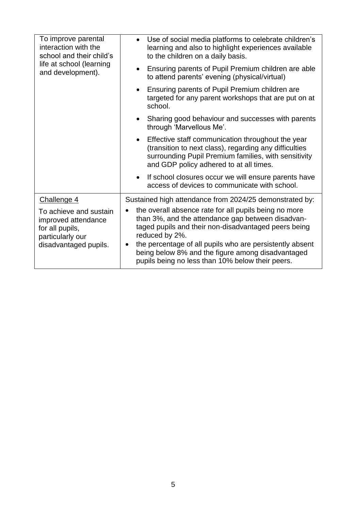| • Use of social media platforms to celebrate children's<br>learning and also to highlight experiences available<br>to the children on a daily basis.                                                                                                                                                                                                      |
|-----------------------------------------------------------------------------------------------------------------------------------------------------------------------------------------------------------------------------------------------------------------------------------------------------------------------------------------------------------|
| Ensuring parents of Pupil Premium children are able<br>to attend parents' evening (physical/virtual)                                                                                                                                                                                                                                                      |
| Ensuring parents of Pupil Premium children are<br>targeted for any parent workshops that are put on at<br>school.                                                                                                                                                                                                                                         |
| Sharing good behaviour and successes with parents<br>through 'Marvellous Me'.                                                                                                                                                                                                                                                                             |
| Effective staff communication throughout the year<br>(transition to next class), regarding any difficulties<br>surrounding Pupil Premium families, with sensitivity<br>and GDP policy adhered to at all times.                                                                                                                                            |
| If school closures occur we will ensure parents have<br>access of devices to communicate with school.                                                                                                                                                                                                                                                     |
| Sustained high attendance from 2024/25 demonstrated by:                                                                                                                                                                                                                                                                                                   |
| the overall absence rate for all pupils being no more<br>than 3%, and the attendance gap between disadvan-<br>taged pupils and their non-disadvantaged peers being<br>reduced by 2%.<br>the percentage of all pupils who are persistently absent<br>being below 8% and the figure among disadvantaged<br>pupils being no less than 10% below their peers. |
|                                                                                                                                                                                                                                                                                                                                                           |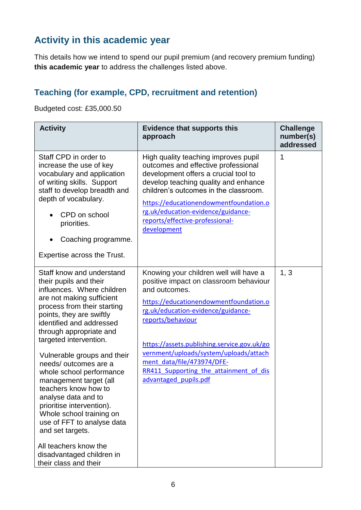### **Activity in this academic year**

This details how we intend to spend our pupil premium (and recovery premium funding) **this academic year** to address the challenges listed above.

### **Teaching (for example, CPD, recruitment and retention)**

Budgeted cost: £35,000.50

| <b>Activity</b>                                                                                                                                                                                                                                                                | <b>Evidence that supports this</b><br>approach                                                                                                                                                                                                                                                                                         | <b>Challenge</b><br>number(s)<br>addressed |
|--------------------------------------------------------------------------------------------------------------------------------------------------------------------------------------------------------------------------------------------------------------------------------|----------------------------------------------------------------------------------------------------------------------------------------------------------------------------------------------------------------------------------------------------------------------------------------------------------------------------------------|--------------------------------------------|
| Staff CPD in order to<br>increase the use of key<br>vocabulary and application<br>of writing skills. Support<br>staff to develop breadth and<br>depth of vocabulary.<br>CPD on school<br>priorities.<br>Coaching programme.<br>$\bullet$<br><b>Expertise across the Trust.</b> | High quality teaching improves pupil<br>outcomes and effective professional<br>development offers a crucial tool to<br>develop teaching quality and enhance<br>children's outcomes in the classroom.<br>https://educationendowmentfoundation.o<br>rg.uk/education-evidence/guidance-<br>reports/effective-professional-<br>development | 1                                          |
| Staff know and understand<br>their pupils and their<br>influences. Where children<br>are not making sufficient<br>process from their starting<br>points, they are swiftly<br>identified and addressed<br>through appropriate and<br>targeted intervention.                     | Knowing your children well will have a<br>positive impact on classroom behaviour<br>and outcomes.<br>https://educationendowmentfoundation.o<br>rg.uk/education-evidence/guidance-<br>reports/behaviour<br>https://assets.publishing.service.gov.uk/go<br>vernment/uploads/system/uploads/attach                                        | 1, 3                                       |
| Vulnerable groups and their<br>needs/outcomes are a<br>whole school performance<br>management target (all<br>teachers know how to<br>analyse data and to<br>prioritise intervention).<br>Whole school training on<br>use of FFT to analyse data<br>and set targets.            | ment data/file/473974/DFE-<br>RR411 Supporting the attainment of dis<br>advantaged pupils.pdf                                                                                                                                                                                                                                          |                                            |
| All teachers know the<br>disadvantaged children in<br>their class and their                                                                                                                                                                                                    |                                                                                                                                                                                                                                                                                                                                        |                                            |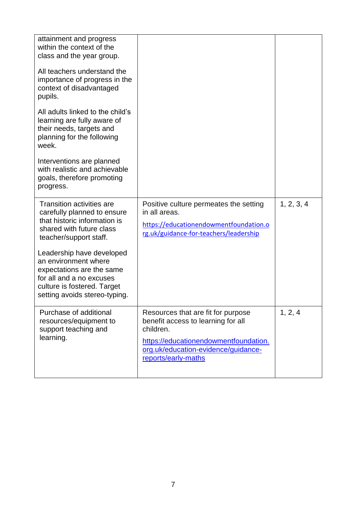| attainment and progress<br>within the context of the<br>class and the year group.<br>All teachers understand the                                                           |                                                                                                                                                                                              |            |
|----------------------------------------------------------------------------------------------------------------------------------------------------------------------------|----------------------------------------------------------------------------------------------------------------------------------------------------------------------------------------------|------------|
| importance of progress in the<br>context of disadvantaged<br>pupils.                                                                                                       |                                                                                                                                                                                              |            |
| All adults linked to the child's<br>learning are fully aware of<br>their needs, targets and<br>planning for the following<br>week.                                         |                                                                                                                                                                                              |            |
| Interventions are planned<br>with realistic and achievable<br>goals, therefore promoting<br>progress.                                                                      |                                                                                                                                                                                              |            |
| <b>Transition activities are</b><br>carefully planned to ensure<br>that historic information is<br>shared with future class<br>teacher/support staff.                      | Positive culture permeates the setting<br>in all areas.<br>https://educationendowmentfoundation.o<br>rg.uk/guidance-for-teachers/leadership                                                  | 1, 2, 3, 4 |
| Leadership have developed<br>an environment where<br>expectations are the same<br>for all and a no excuses<br>culture is fostered. Target<br>setting avoids stereo-typing. |                                                                                                                                                                                              |            |
| Purchase of additional<br>resources/equipment to<br>support teaching and<br>learning.                                                                                      | Resources that are fit for purpose<br>benefit access to learning for all<br>children.<br>https://educationendowmentfoundation.<br>org.uk/education-evidence/guidance-<br>reports/early-maths | 1, 2, 4    |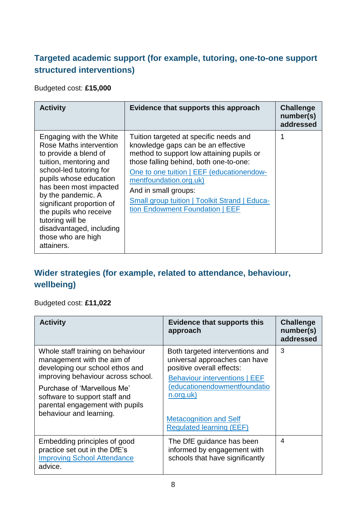#### **Targeted academic support (for example, tutoring, one-to-one support structured interventions)**

Budgeted cost: **£15,000**

| <b>Activity</b>                                                                                                                                                                                                                                                                                                                                       | Evidence that supports this approach                                                                                                                                                                                                                                                                                                                          | <b>Challenge</b><br>number(s)<br>addressed |
|-------------------------------------------------------------------------------------------------------------------------------------------------------------------------------------------------------------------------------------------------------------------------------------------------------------------------------------------------------|---------------------------------------------------------------------------------------------------------------------------------------------------------------------------------------------------------------------------------------------------------------------------------------------------------------------------------------------------------------|--------------------------------------------|
| Engaging with the White<br>Rose Maths intervention<br>to provide a blend of<br>tuition, mentoring and<br>school-led tutoring for<br>pupils whose education<br>has been most impacted<br>by the pandemic. A<br>significant proportion of<br>the pupils who receive<br>tutoring will be<br>disadvantaged, including<br>those who are high<br>attainers. | Tuition targeted at specific needs and<br>knowledge gaps can be an effective<br>method to support low attaining pupils or<br>those falling behind, both one-to-one:<br>One to one tuition   EEF (educationendow-<br>mentfoundation.org.uk)<br>And in small groups:<br><b>Small group tuition   Toolkit Strand   Educa-</b><br>tion Endowment Foundation   EEF | 1                                          |

### **Wider strategies (for example, related to attendance, behaviour, wellbeing)**

Budgeted cost: **£11,022**

| <b>Activity</b>                                                                                                                                                                                                                                                        | <b>Evidence that supports this</b><br>approach                                                                                                                                                                                                         | <b>Challenge</b><br>number(s)<br>addressed |
|------------------------------------------------------------------------------------------------------------------------------------------------------------------------------------------------------------------------------------------------------------------------|--------------------------------------------------------------------------------------------------------------------------------------------------------------------------------------------------------------------------------------------------------|--------------------------------------------|
| Whole staff training on behaviour<br>management with the aim of<br>developing our school ethos and<br>improving behaviour across school.<br>Purchase of 'Marvellous Me'<br>software to support staff and<br>parental engagement with pupils<br>behaviour and learning. | Both targeted interventions and<br>universal approaches can have<br>positive overall effects:<br><b>Behaviour interventions   EEF</b><br>(educationendowmentfoundatio<br>n.org.uk)<br><b>Metacognition and Self</b><br><b>Regulated learning (EEF)</b> | 3                                          |
| Embedding principles of good<br>practice set out in the DfE's<br><b>Improving School Attendance</b><br>advice.                                                                                                                                                         | The DfE guidance has been<br>informed by engagement with<br>schools that have significantly                                                                                                                                                            | 4                                          |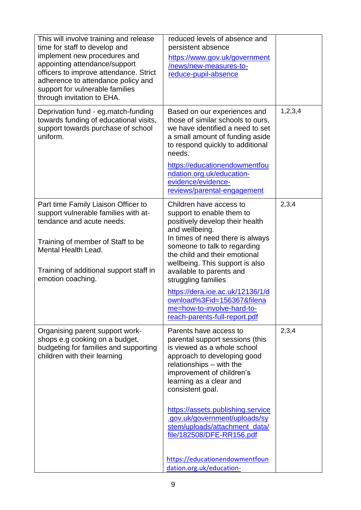| This will involve training and release<br>time for staff to develop and<br>implement new procedures and<br>appointing attendance/support<br>officers to improve attendance. Strict<br>adherence to attendance policy and<br>support for vulnerable families<br>through invitation to EHA. | reduced levels of absence and<br>persistent absence<br>https://www.gov.uk/government<br>/news/new-measures-to-<br>reduce-pupil-absence                                                                                                                                                                                                                                                                                                                               |         |
|-------------------------------------------------------------------------------------------------------------------------------------------------------------------------------------------------------------------------------------------------------------------------------------------|----------------------------------------------------------------------------------------------------------------------------------------------------------------------------------------------------------------------------------------------------------------------------------------------------------------------------------------------------------------------------------------------------------------------------------------------------------------------|---------|
| Deprivation fund - eg.match-funding<br>towards funding of educational visits,<br>support towards purchase of school<br>uniform.                                                                                                                                                           | Based on our experiences and<br>those of similar schools to ours,<br>we have identified a need to set<br>a small amount of funding aside<br>to respond quickly to additional<br>needs.<br>https://educationendowmentfou<br>ndation.org.uk/education-<br>evidence/evidence-                                                                                                                                                                                           | 1,2,3,4 |
| Part time Family Liaison Officer to<br>support vulnerable families with at-<br>tendance and acute needs.<br>Training of member of Staff to be<br><b>Mental Health Lead.</b><br>Training of additional support staff in<br>emotion coaching.                                               | reviews/parental-engagement<br>Children have access to<br>support to enable them to<br>positively develop their health<br>and wellbeing.<br>In times of need there is always<br>someone to talk to regarding<br>the child and their emotional<br>wellbeing. This support is also<br>available to parents and<br>struggling families<br>https://dera.ioe.ac.uk/12136/1/d<br>ownload%3Fid=156367&filena<br>me=how-to-involve-hard-to-<br>reach-parents-full-report.pdf | 2,3,4   |
| Organising parent support work-<br>shops e.g cooking on a budget,<br>budgeting for families and supporting<br>children with their learning                                                                                                                                                | Parents have access to<br>parental support sessions (this<br>is viewed as a whole school<br>approach to developing good<br>relationships - with the<br>improvement of children's<br>learning as a clear and<br>consistent goal.<br>https://assets.publishing.service<br>.gov.uk/government/uploads/sy<br>stem/uploads/attachment_data/<br>file/182508/DFE-RR156.pdf<br>https://educationendowmentfoun<br>dation.org.uk/education-                                    | 2,3,4   |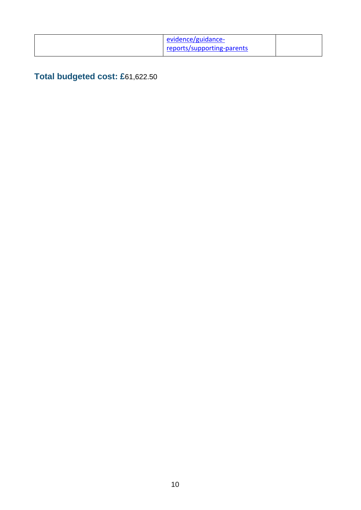| evidence/guidance-         |  |
|----------------------------|--|
| reports/supporting-parents |  |

### **Total budgeted cost: £**61,622.50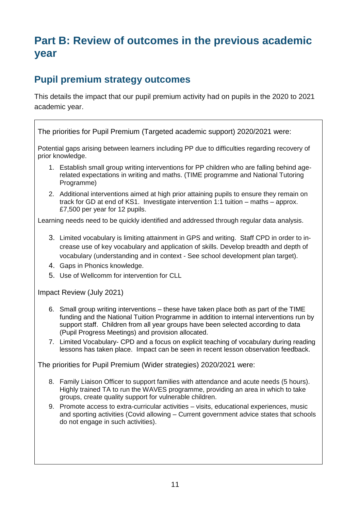## **Part B: Review of outcomes in the previous academic year**

### **Pupil premium strategy outcomes**

This details the impact that our pupil premium activity had on pupils in the 2020 to 2021 academic year.

The priorities for Pupil Premium (Targeted academic support) 2020/2021 were:

Potential gaps arising between learners including PP due to difficulties regarding recovery of prior knowledge.

- 1. Establish small group writing interventions for PP children who are falling behind agerelated expectations in writing and maths. (TIME programme and National Tutoring Programme)
- 2. Additional interventions aimed at high prior attaining pupils to ensure they remain on track for GD at end of KS1. Investigate intervention 1:1 tuition – maths – approx. £7,500 per year for 12 pupils.

Learning needs need to be quickly identified and addressed through regular data analysis.

- 3. Limited vocabulary is limiting attainment in GPS and writing. Staff CPD in order to increase use of key vocabulary and application of skills. Develop breadth and depth of vocabulary (understanding and in context - See school development plan target).
- 4. Gaps in Phonics knowledge.
- 5. Use of Wellcomm for intervention for CLL

Impact Review (July 2021)

- 6. Small group writing interventions these have taken place both as part of the TIME funding and the National Tuition Programme in addition to internal interventions run by support staff. Children from all year groups have been selected according to data (Pupil Progress Meetings) and provision allocated.
- 7. Limited Vocabulary- CPD and a focus on explicit teaching of vocabulary during reading lessons has taken place. Impact can be seen in recent lesson observation feedback.

The priorities for Pupil Premium (Wider strategies) 2020/2021 were:

- 8. Family Liaison Officer to support families with attendance and acute needs (5 hours). Highly trained TA to run the WAVES programme, providing an area in which to take groups, create quality support for vulnerable children.
- 9. Promote access to extra-curricular activities visits, educational experiences, music and sporting activities (Covid allowing – Current government advice states that schools do not engage in such activities).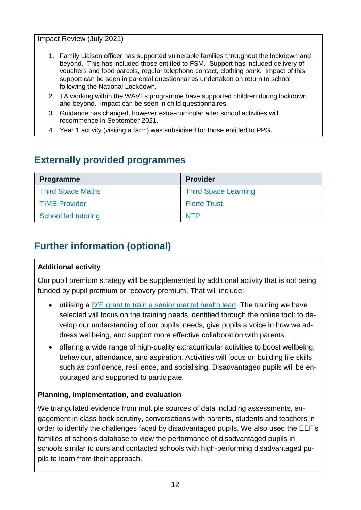Impact Review (July 2021)

- 1. Family Liaison officer has supported vulnerable families throughout the lockdown and beyond. This has included those entitled to FSM. Support has included delivery of vouchers and food parcels, regular telephone contact, clothing bank. Impact of this support can be seen in parental questionnaires undertaken on return to school following the National Lockdown.
- 2. TA working within the WAVEs programme have supported children during lockdown and beyond. Impact can be seen in child questionnaires.
- 3. Guidance has changed, however extra-curricular after school activities will recommence in September 2021.
- 4. Year 1 activity (visiting a farm) was subsidised for those entitled to PPG.

### **Externally provided programmes**

| Programme                | <b>Provider</b>             |
|--------------------------|-----------------------------|
| <b>Third Space Maths</b> | <b>Third Space Learning</b> |
| <b>TIME Provider</b>     | <b>Fierte Trust</b>         |
| School led tutoring      | <b>NTP</b>                  |

### **Further information (optional)**

#### **Additional activity**

Our pupil premium strategy will be supplemented by additional activity that is not being funded by pupil premium or recovery premium. That will include:

- utilising a [DfE grant to train a senior mental health lead.](https://www.gov.uk/guidance/senior-mental-health-lead-training) The training we have selected will focus on the training needs identified through the online tool: to develop our understanding of our pupils' needs, give pupils a voice in how we address wellbeing, and support more effective collaboration with parents.
- offering a wide range of high-quality extracurricular activities to boost wellbeing, behaviour, attendance, and aspiration. Activities will focus on building life skills such as confidence, resilience, and socialising. Disadvantaged pupils will be encouraged and supported to participate.

#### **Planning, implementation, and evaluation**

We triangulated evidence from multiple sources of data including assessments, engagement in class book scrutiny, conversations with parents, students and teachers in order to identify the challenges faced by disadvantaged pupils. We also used the EEF's families of schools database to view the performance of disadvantaged pupils in schools similar to ours and contacted schools with high-performing disadvantaged pupils to learn from their approach.